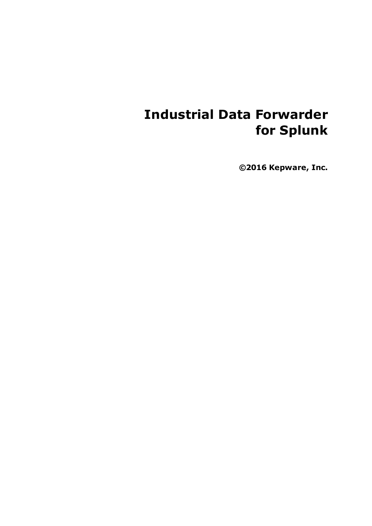# **Industrial Data Forwarder for Splunk**

**©2016 Kepware, Inc.**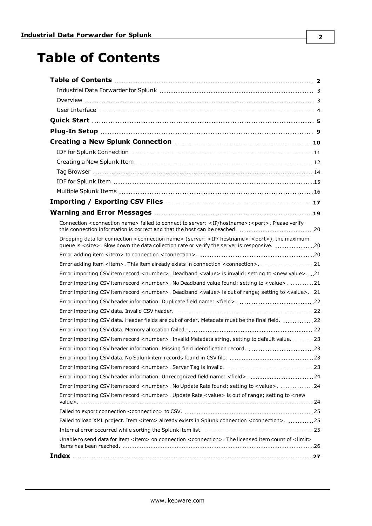# <span id="page-1-0"></span>**Table of Contents**

| Connection <connection name=""> failed to connect to server: <ip hostname="">:<port>. Please verify<br/>this connection information is correct and that the host can be reached. 20</port></ip></connection>                    |
|---------------------------------------------------------------------------------------------------------------------------------------------------------------------------------------------------------------------------------|
| Dropping data for connection <connection name=""> (server: <ip hostname="">:<port>), the maximum<br/>queue is <size>. Slow down the data collection rate or verify the server is responsive. 20</size></port></ip></connection> |
|                                                                                                                                                                                                                                 |
|                                                                                                                                                                                                                                 |
| Error importing CSV item record <number>. Deadband <value> is invalid; setting to <new value="">. .21</new></value></number>                                                                                                    |
| Error importing CSV item record <number>. No Deadband value found; setting to <value>. 21</value></number>                                                                                                                      |
| Error importing CSV item record <number>. Deadband <value> is out of range; setting to <value>. 21</value></value></number>                                                                                                     |
| Error importing CSV header information. Duplicate field name: <field>. 22</field>                                                                                                                                               |
|                                                                                                                                                                                                                                 |
| Error importing CSV data. Header fields are out of order. Metadata must be the final field. 22                                                                                                                                  |
|                                                                                                                                                                                                                                 |
| Error importing CSV item record <number>. Invalid Metadata string, setting to default value. 23</number>                                                                                                                        |
| Error importing CSV header information. Missing field identification record. 23                                                                                                                                                 |
|                                                                                                                                                                                                                                 |
|                                                                                                                                                                                                                                 |
| Error importing CSV header information. Unrecognized field name: <field>. 24</field>                                                                                                                                            |
| Error importing CSV item record <number>. No Update Rate found; setting to <value>. 24</value></number>                                                                                                                         |
| Error importing CSV item record <number>. Update Rate <value> is out of range; setting to <new< td=""></new<></value></number>                                                                                                  |
|                                                                                                                                                                                                                                 |
| Failed to load XML project. Item <item> already exists in Splunk connection <connection>. 25</connection></item>                                                                                                                |
|                                                                                                                                                                                                                                 |
| Unable to send data for item <item> on connection <connection>. The licensed item count of <limit></limit></connection></item>                                                                                                  |
|                                                                                                                                                                                                                                 |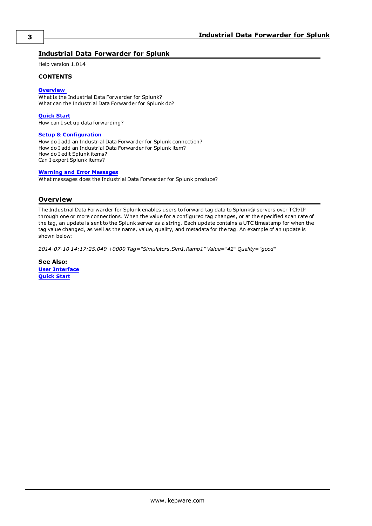### <span id="page-2-0"></span>**Industrial Data Forwarder for Splunk**

Help version 1.014

### **CONTENTS**

### **[Overview](#page-2-1)**

What is the Industrial Data Forwarder for Splunk? What can the Industrial Data Forwarder for Splunk do?

**[Quick](#page-4-0) Start** How can I set up data forwarding?

### **Setup [& Configuration](#page-8-0)**

How do I add an Industrial Data Forwarder for Splunk connection? How do I add an Industrial Data Forwarder for Splunk item? How do I edit Splunk items? Can I export Splunk items?

### **Warning and Error [Messages](#page-18-0)**

What messages does the Industrial Data Forwarder for Splunk produce?

### <span id="page-2-1"></span>**Overview**

The Industrial Data Forwarder for Splunk enables users to forward tag data to Splunk® servers over TCP/IP through one or more connections. When the value for a configured tag changes, or at the specified scan rate of the tag, an update is sent to the Splunk server as a string. Each update contains a UTC timestamp for when the tag value changed, as well as the name, value, quality, and metadata for the tag. An example of an update is shown below:

*2014-07-10 14:17:25.049 +0000 Tag="Simulators.Sim1.Ramp1" Value="42" Quality="good"*

**See Also: User [Interface](#page-3-0) [Quick](#page-4-0) Start**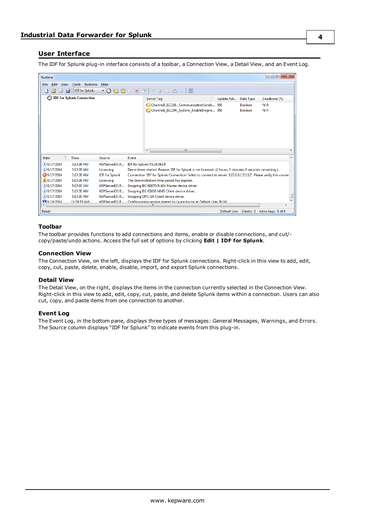### <span id="page-3-0"></span>**User Interface**

The IDF for Splunk plug-in interface consists of a toolbar, a Connection View, a Detail View, and an Event Log.

| Runtime                         |                    |                       |       |                                                                                                                  |              |                | $\mathbf{x}$<br>▣<br>$\Box$ |
|---------------------------------|--------------------|-----------------------|-------|------------------------------------------------------------------------------------------------------------------|--------------|----------------|-----------------------------|
| Edit<br>File                    | View Tools Runtime | Help                  |       |                                                                                                                  |              |                |                             |
| $\mathbb{R}^2$<br>$\Rightarrow$ | IDF for Splunk     |                       |       | - 0 0 0 0 0 7 9 % & 6 × 1 22                                                                                     |              |                |                             |
|                                 |                    |                       |       | Server Tag                                                                                                       | Update Rat   | Data Type      | Deadband (%)                |
|                                 |                    |                       |       | Channell IEC101. CommunicationSeriali 950                                                                        |              | <b>Boolean</b> | N/A                         |
|                                 |                    |                       |       | Channell IEC104. System. EnableDiagno 950                                                                        |              | <b>Boolean</b> | N/A                         |
|                                 |                    |                       |       |                                                                                                                  |              |                |                             |
|                                 |                    |                       |       |                                                                                                                  |              |                |                             |
|                                 |                    |                       |       |                                                                                                                  |              |                |                             |
|                                 |                    |                       |       |                                                                                                                  |              |                |                             |
|                                 |                    |                       |       |                                                                                                                  |              |                |                             |
|                                 |                    |                       |       |                                                                                                                  |              |                |                             |
|                                 |                    |                       |       | m.<br>$\left($                                                                                                   |              |                |                             |
| Date                            | Time               | Source                | Event |                                                                                                                  |              |                |                             |
| $(i)$ 9/17/2014                 | 3:17:28 AM         | KEPServerEX\R         |       | IDF for Splunk V5.16.583.0                                                                                       |              |                |                             |
| $(i)$ 9/17/2014                 | 3:17:28 AM         | Licensing             |       | Demo timer started. Reason: IDF for Splunk is not licensed. (2 hours, 0 minutes, 0 seconds remaining.)           |              |                |                             |
| 39/17/2014                      | 3:17:38 AM         | <b>IDF</b> for Splunk |       | Connection 'IDF for Splunk Connection' failed to connect to server: '127.0.0.1:51112'. Please verify this connel |              |                |                             |
| 1 9/17/2014                     | 5:17:28 AM         | Licensing             |       | The demonstration time period has expired.                                                                       |              |                |                             |
| $(i)$ 9/17/2014                 | 5:17:30 AM         | KEPServerEX\R         |       | Stopping IEC 60870-5-104 Master device driver.                                                                   |              |                |                             |
| $(i)$ 9/17/2014                 | 5:17:30 AM         | KEPServerEX\R         |       | Stopping IEC 61850 MMS Client device driver.                                                                     |              |                |                             |
| $(i)$ 9/17/2014                 | 5:17:30 AM         | KEPServerEX\R         |       | Stopping OPC UA Client device driver.                                                                            |              |                |                             |
| WW 9/18/2014                    | 11:28:55 AM        | KFPServerFX\R         |       | Configuration session started by laurie house as Default User (R/W)                                              |              |                |                             |
|                                 |                    |                       |       | ш                                                                                                                |              |                |                             |
| Ready                           |                    |                       |       |                                                                                                                  | Default User | Clients: 0     | Active tags: 0 of 0         |

### <span id="page-3-5"></span>**Toolbar**

The toolbar provides functions to add connections and items, enable or disable connections, and cut/ copy/paste/undo actions. Access the full set of options by clicking **Edit | IDF for Splunk**.

### <span id="page-3-1"></span>**Connection View**

The Connection View, on the left, displays the IDF for Splunk connections. Right-click in this view to add, edit, copy, cut, paste, delete, enable, disable, import, and export Splunk connections.

#### <span id="page-3-2"></span>**Detail View**

The Detail View, on the right, displays the items in the connection currently selected in the Connection View. Right-click in this view to add, edit, copy, cut, paste, and delete Splunk items within a connection. Users can also cut, copy, and paste items from one connection to another.

#### <span id="page-3-4"></span><span id="page-3-3"></span>**Event Log**

The Event Log, in the bottom pane, displays three types of messages: General Messages, Warnings, and Errors. The Source column displays "IDF for Splunk" to indicate events from this plug-in.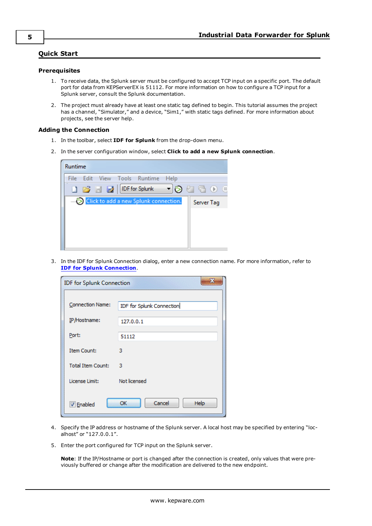### <span id="page-4-0"></span>**Quick Start**

### <span id="page-4-2"></span>**Prerequisites**

- 1. To receive data, the Splunk server must be configured to accept TCP input on a specific port. The default port for data from KEPServerEX is 51112. For more information on how to configure a TCP input for a Splunk server, consult the Splunk documentation.
- 2. The project must already have at least one static tag defined to begin. This tutorial assumes the project has a channel, "Simulator," and a device, "Sim1," with static tags defined. For more information about projects, see the server help.

### <span id="page-4-1"></span>**Adding the Connection**

- 1. In the toolbar, select **IDF for Splunk** from the drop-down menu.
- 2. In the server configuration window, select **Click to add a new Splunk connection**.

| Runtime                                 |            |
|-----------------------------------------|------------|
| File<br>Edit View Tools Runtime<br>Help |            |
| <b>DE EX DE For Splunk</b>              | - 00000    |
| Click to add a new Splunk connection.   | Server Tag |
|                                         |            |
|                                         |            |
|                                         |            |
|                                         |            |

3. In the IDF for Splunk Connection dialog, enter a new connection name. For more information, refer to **IDF for Splunk [Connection](#page-10-0)**.

| 53<br><b>IDF for Splunk Connection</b> |                           |  |  |  |  |  |
|----------------------------------------|---------------------------|--|--|--|--|--|
| <b>Connection Name:</b>                | IDF for Splunk Connection |  |  |  |  |  |
| IP/Hostname:                           | 127.0.0.1                 |  |  |  |  |  |
| Port:                                  | 51112                     |  |  |  |  |  |
| Item Count:                            | з                         |  |  |  |  |  |
| <b>Total Item Count:</b>               | з                         |  |  |  |  |  |
| License Limit:                         | Not licensed              |  |  |  |  |  |
| <b>V</b> Enabled                       | Cancel<br>OK<br>Help      |  |  |  |  |  |

- 4. Specify the IP address or hostname of the Splunk server. A local host may be specified by entering "localhost" or "127.0.0.1".
- 5. Enter the port configured for TCP input on the Splunk server.

**Note**: If the IP/Hostname or port is changed after the connection is created, only values that were previously buffered or change after the modification are delivered to the new endpoint.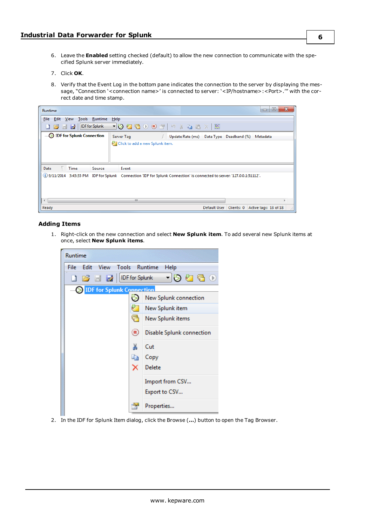- 6. Leave the **Enabled** setting checked (default) to allow the new connection to communicate with the specified Splunk server immediately.
- 7. Click **OK**.
- 8. Verify that the Event Log in the bottom pane indicates the connection to the server by displaying the message, "Connection '< connection name>' is connected to server: '<IP/hostname>: <Port>.'" with the correct date and time stamp.

| Runtime                                   | x<br>▣<br>$\Box$                                                                                                                                                                                                            |
|-------------------------------------------|-----------------------------------------------------------------------------------------------------------------------------------------------------------------------------------------------------------------------------|
| View Tools Runtime<br>Edit<br><b>File</b> | Help                                                                                                                                                                                                                        |
| <b>DE EX DE For Splunk</b>                | $\neg{\textsf{0}}{\textsf{0}}{\textsf{0}}\oplus\textsf{0}{\textsf{0}}{\textsf{0}}{\textsf{0}}{\textsf{0}}{\textsf{0}}{\textsf{0}}{\textsf{0}}{\textsf{0}}{\textsf{0}}{\textsf{0}}{\textsf{0}}$<br>$\overline{\mathbb{R}^n}$ |
| <b>DE</b> for Splunk Connection           | Server Tag<br>$\Lambda$<br>Data Type Deadband (%)<br>Update Rate (ms)<br>Metadata                                                                                                                                           |
|                                           | Click to add a new Splunk item.                                                                                                                                                                                             |
|                                           |                                                                                                                                                                                                                             |
|                                           |                                                                                                                                                                                                                             |
| Date<br>Time<br>Source                    | Event                                                                                                                                                                                                                       |
|                                           | (i) 9/11/2014 3:43:35 PM IDF for Splunk Connection 'IDF for Splunk Connection' is connected to server: '127.0.0.1:51112'.                                                                                                   |
|                                           |                                                                                                                                                                                                                             |
|                                           |                                                                                                                                                                                                                             |
| ∢                                         | m.                                                                                                                                                                                                                          |
| Ready                                     | Default User   Clients: 0   Active tags: 18 of 18                                                                                                                                                                           |

### <span id="page-5-0"></span>**Adding Items**

1. Right-click on the new connection and select **New Splunk item**. To add several new Splunk items at once, select **New Splunk items**.



2. In the IDF for Splunk Item dialog, click the Browse (**…**) button to open the Tag Browser.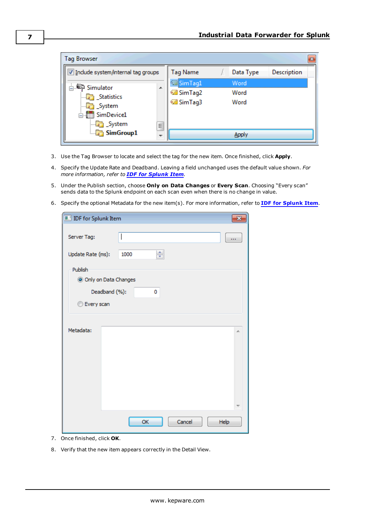| <b>Tag Browser</b>                   |   |                 |  |           |             |  |  |  |
|--------------------------------------|---|-----------------|--|-----------|-------------|--|--|--|
| V Include system/internal tag groups |   | <b>Tag Name</b> |  | Data Type | Description |  |  |  |
| Simulator                            |   | SimTag1         |  | Word      |             |  |  |  |
| Statistics                           | 未 | SimTag2         |  | Word      |             |  |  |  |
| <b>En System</b>                     |   | © SimTag3       |  | Word      |             |  |  |  |
| <b>E-111 SimDevice1</b>              |   |                 |  |           |             |  |  |  |
| System                               | Ξ |                 |  |           |             |  |  |  |
| $\Box$ SimGroup1                     |   |                 |  |           |             |  |  |  |

- 3. Use the Tag Browser to locate and select the tag for the new item. Once finished, click **Apply**.
- 4. Specify the Update Rate and Deadband. Leaving a field unchanged uses the default value shown. *For more information, refer to IDF for [Splunk](#page-14-0) Item.*
- 5. Under the Publish section, choose **Only on Data Changes** or **Every Scan**. Choosing "Every scan" sends data to the Splunk endpoint on each scan even when there is no change in value.
- 6. Specify the optional Metadata for the new item(s). For more information, refer to **IDF for [Splunk](#page-14-0) Item**.

| <b>IDF</b> for Splunk Item |           |                |
|----------------------------|-----------|----------------|
| Server Tag:                |           |                |
| Update Rate (ms):          | ÷<br>1000 |                |
| Publish                    |           |                |
| O Only on Data Changes     |           |                |
| Deadband (%):              | 0         |                |
| <b>Every scan</b>          |           |                |
|                            |           |                |
| Metadata:                  |           | À.             |
|                            |           |                |
|                            |           |                |
|                            |           |                |
|                            |           |                |
|                            |           |                |
|                            |           |                |
|                            | OK        | Cancel<br>Help |

- 7. Once finished, click **OK**.
- 8. Verify that the new item appears correctly in the Detail View.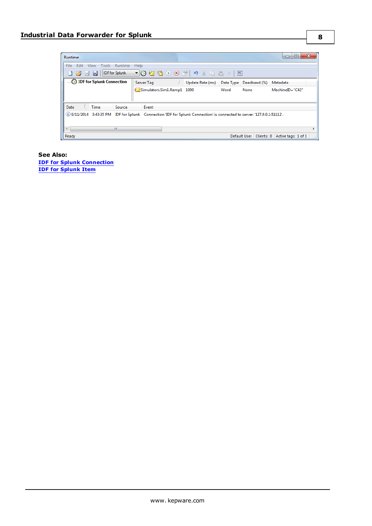| <b>Runtime</b>           |               |                 |                                                                                                                                                                                                                                                                                                                                                                                                                                                                                                                                                                                                                                     |                                           |      |      | ▣<br>$\Box$                                     | x |
|--------------------------|---------------|-----------------|-------------------------------------------------------------------------------------------------------------------------------------------------------------------------------------------------------------------------------------------------------------------------------------------------------------------------------------------------------------------------------------------------------------------------------------------------------------------------------------------------------------------------------------------------------------------------------------------------------------------------------------|-------------------------------------------|------|------|-------------------------------------------------|---|
| File<br>Edit             | View<br>Tools | Runtime<br>Help |                                                                                                                                                                                                                                                                                                                                                                                                                                                                                                                                                                                                                                     |                                           |      |      |                                                 |   |
| <b>B</b> B P             |               | IDF for Splunk  | $\neg\textsf{ORX} \rightarrow \textsf{ORX} \rightarrow \textsf{ORX} \rightarrow \textsf{ORX} \rightarrow \textsf{ORX} \rightarrow \textsf{ORX} \rightarrow \textsf{ORX} \rightarrow \textsf{ORX} \rightarrow \textsf{ORX} \rightarrow \textsf{ORX} \rightarrow \textsf{ORX} \rightarrow \textsf{ORX} \rightarrow \textsf{ORX} \rightarrow \textsf{ORX} \rightarrow \textsf{ORX} \rightarrow \textsf{ORX} \rightarrow \textsf{ORX} \rightarrow \textsf{ORX} \rightarrow \textsf{ORX} \rightarrow \textsf{ORX} \rightarrow \textsf{ORX} \rightarrow \textsf{ORX} \rightarrow \textsf{ORX} \rightarrow \textsf{ORX} \rightarrow \text$ |                                           |      |      |                                                 |   |
| DE for Splunk Connection |               |                 | Server Tag                                                                                                                                                                                                                                                                                                                                                                                                                                                                                                                                                                                                                          | / Update Rate (ms) Data Type Deadband (%) |      |      | Metadata                                        |   |
|                          |               |                 | Simulators.Sim1.Ramp1 1000                                                                                                                                                                                                                                                                                                                                                                                                                                                                                                                                                                                                          |                                           | Word | None | MachineID="C42"                                 |   |
|                          |               |                 |                                                                                                                                                                                                                                                                                                                                                                                                                                                                                                                                                                                                                                     |                                           |      |      |                                                 |   |
| Date                     | Time          | Source          | Event                                                                                                                                                                                                                                                                                                                                                                                                                                                                                                                                                                                                                               |                                           |      |      |                                                 |   |
|                          |               |                 | (i) 9/11/2014 3:43:35 PM IDF for Splunk Connection 'IDF for Splunk Connection' is connected to server: '127.0.0.1:51112'.                                                                                                                                                                                                                                                                                                                                                                                                                                                                                                           |                                           |      |      |                                                 |   |
| $\overline{\phantom{a}}$ |               | ш               |                                                                                                                                                                                                                                                                                                                                                                                                                                                                                                                                                                                                                                     |                                           |      |      |                                                 |   |
| Ready                    |               |                 |                                                                                                                                                                                                                                                                                                                                                                                                                                                                                                                                                                                                                                     |                                           |      |      | Default User   Clients: 0   Active tags: 1 of 1 |   |

**See Also: IDF for Splunk [Connection](#page-10-0) IDF for [Splunk](#page-14-0) Item**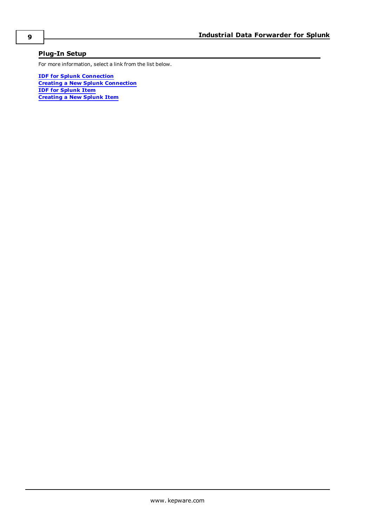### <span id="page-8-0"></span>**Plug-In Setup**

For more information, select a link from the list below.

**IDF for Splunk [Connection](#page-10-0) Creating a New Splunk [Connection](#page-9-0) IDF for [Splunk](#page-14-0) Item [Creating](#page-11-0) a New Splunk Item**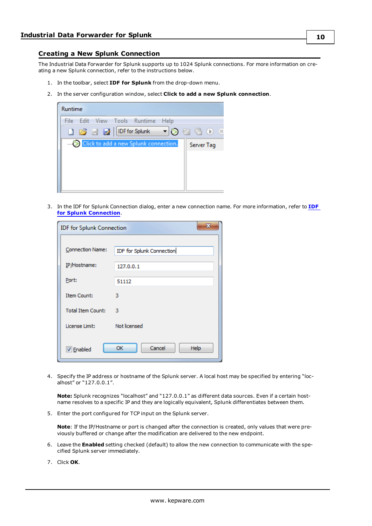### <span id="page-9-0"></span>**Creating a New Splunk Connection**

The Industrial Data Forwarder for Splunk supports up to 1024 Splunk connections. For more information on creating a new Splunk connection, refer to the instructions below.

- 1. In the toolbar, select **IDF for Splunk** from the drop-down menu.
- 2. In the server configuration window, select **Click to add a new Splunk connection**.



3. In the IDF for Splunk Connection dialog, enter a new connection name. For more information, refer to **[IDF](#page-10-0) for Splunk [Connection](#page-10-0)**.

| <b>IDF for Splunk Connection</b> |                             |  |  |  |  |  |
|----------------------------------|-----------------------------|--|--|--|--|--|
| <b>Connection Name:</b>          | IDF for Splunk Connection   |  |  |  |  |  |
| IP/Hostname:                     | 127.0.0.1                   |  |  |  |  |  |
| Port:                            | 51112                       |  |  |  |  |  |
| <b>Item Count:</b>               | з                           |  |  |  |  |  |
| <b>Total Item Count:</b>         | з                           |  |  |  |  |  |
| License Limit:                   | Not licensed                |  |  |  |  |  |
| V Enabled                        | Cancel<br><b>Help</b><br>OK |  |  |  |  |  |

4. Specify the IP address or hostname of the Splunk server. A local host may be specified by entering "localhost" or "127.0.0.1".

<span id="page-9-1"></span>**Note:** Splunk recognizes "localhost" and "127.0.0.1" as different data sources. Even if a certain hostname resolves to a specific IP and they are logically equivalent, Splunk differentiates between them.

5. Enter the port configured for TCP input on the Splunk server.

**Note**: If the IP/Hostname or port is changed after the connection is created, only values that were previously buffered or change after the modification are delivered to the new endpoint.

- 6. Leave the **Enabled** setting checked (default) to allow the new connection to communicate with the specified Splunk server immediately.
- 7. Click **OK**.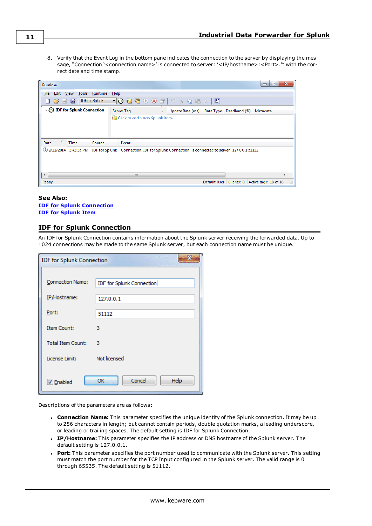8. Verify that the Event Log in the bottom pane indicates the connection to the server by displaying the message, "Connection '< connection name>' is connected to server: '<IP/hostname>: <Port>.'" with the correct date and time stamp.

| Runtime                                   |                                                                                                                        | ▣.<br>х<br>$\blacksquare$ |
|-------------------------------------------|------------------------------------------------------------------------------------------------------------------------|---------------------------|
| View Tools Runtime<br><b>File</b><br>Edit | Help                                                                                                                   |                           |
| IDF for Splunk<br>$\Box$<br>$\rightarrow$ | $\lnot$ 3 + 3 + 3 + 3 + 3 + 3 + 3 + 3 $\times$ 3 + 3 + 3 $\times$ 3 $\times$<br>$\overline{\mathbb{R}^n}$              |                           |
| <b>DE</b> for Splunk Connection           | Server Tag<br>Data Type Deadband (%) Metadata<br>Update Rate (ms)                                                      |                           |
|                                           | Click to add a new Splunk item.                                                                                        |                           |
|                                           |                                                                                                                        |                           |
|                                           |                                                                                                                        |                           |
| <b>Time</b><br>Date<br>Source             | Event                                                                                                                  |                           |
|                                           | .'9/11/2014 3:43:35 PM IDF for Splunk Connection 'IDF for Splunk Connection' is connected to server: '127.0.0.1:51112' |                           |
|                                           |                                                                                                                        |                           |
|                                           |                                                                                                                        |                           |
| $\overline{ }$                            | m.                                                                                                                     | ь                         |
| Ready                                     | Clients: 0 Active tags: 18 of 18<br>Default User                                                                       |                           |

### **See Also: IDF for Splunk [Connection](#page-10-0) IDF for [Splunk](#page-14-0) Item**

### <span id="page-10-0"></span>**IDF for Splunk Connection**

An IDF for Splunk Connection contains information about the Splunk server receiving the forwarded data. Up to 1024 connections may be made to the same Splunk server, but each connection name must be unique.

| <b>IDF for Splunk Connection</b> |                           |  |  |  |  |  |
|----------------------------------|---------------------------|--|--|--|--|--|
|                                  |                           |  |  |  |  |  |
| <b>Connection Name:</b>          | IDF for Splunk Connection |  |  |  |  |  |
| IP/Hostname:                     | 127.0.0.1                 |  |  |  |  |  |
| Port:                            | 51112                     |  |  |  |  |  |
| <b>Item Count:</b>               | з                         |  |  |  |  |  |
| <b>Total Item Count:</b>         | з                         |  |  |  |  |  |
| License Limit:                   | Not licensed              |  |  |  |  |  |
| <b>V</b> Enabled                 | Cancel<br>Help<br>OK      |  |  |  |  |  |

Descriptions of the parameters are as follows:

- <span id="page-10-1"></span><sup>l</sup> **Connection Name:** This parameter specifies the unique identity of the Splunk connection. It may be up to 256 characters in length; but cannot contain periods, double quotation marks, a leading underscore, or leading or trailing spaces. The default setting is IDF for Splunk Connection.
- <sup>l</sup> **IP/Hostname:** This parameter specifies the IP address or DNS hostname of the Splunk server. The default setting is 127.0.0.1.
- <span id="page-10-2"></span><sup>l</sup> **Port:** This parameter specifies the port number used to communicate with the Splunk server. This setting must match the port number for the TCP Input configured in the Splunk server. The valid range is 0 through 65535. The default setting is 51112.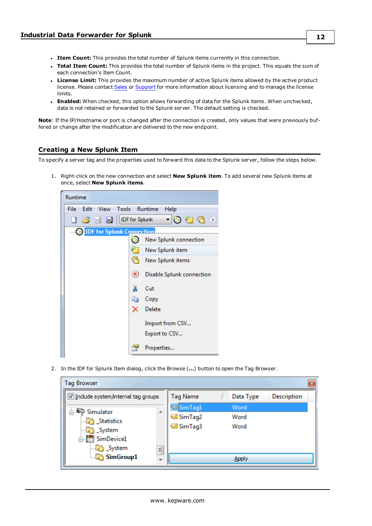- <span id="page-11-6"></span><span id="page-11-2"></span>**.** Item Count: This provides the total number of Splunk items currently in this connection.
- <sup>l</sup> **Total Item Count:** This provides the total number of Splunk items in the project. This equals the sum of each connection's Item Count.
- <span id="page-11-3"></span>**License Limit:** This provides the maximum number of active Splunk items allowed by the active product license. Please contact [Sales](http://www.kepware.com/contact/sales.asp) or [Support](http://www.kepware.com/contact/technical-support.asp) for more information about licensing and to manage the license limits.
- <span id="page-11-1"></span>**Enabled:** When checked, this option allows forwarding of data for the Splunk items. When unchecked, data is not retained or forwarded to the Splunk server. The default setting is checked.

**Note**: If the IP/Hostname or port is changed after the connection is created, only values that were previously buffered or change after the modification are delivered to the new endpoint.

### <span id="page-11-0"></span>**Creating a New Splunk Item**

To specify a server tag and the properties used to forward this data to the Splunk server, follow the steps below.

<span id="page-11-4"></span>1. Right-click on the new connection and select **New Splunk item**. To add several new Splunk items at once, select **New Splunk items**.



<span id="page-11-5"></span>2. In the IDF for Splunk Item dialog, click the Browse (**…**) button to open the Tag Browser.

| <b>Tag Browser</b>                                                              |         |                                                 |  |                      |             |  |  |  |
|---------------------------------------------------------------------------------|---------|-------------------------------------------------|--|----------------------|-------------|--|--|--|
| Include system/internal tag groups                                              |         | Tag Name                                        |  | Data Type            | Description |  |  |  |
| <b>A Simulator</b><br>Statistics<br><b>Dr</b> System<br>in SimDevice1<br>System | A.<br>Ė | SimTag1<br><b>Ø</b> SimTag2<br><b>Ø</b> SimTag3 |  | Word<br>Word<br>Word |             |  |  |  |
| $\Box$ SimGroup1                                                                |         |                                                 |  |                      |             |  |  |  |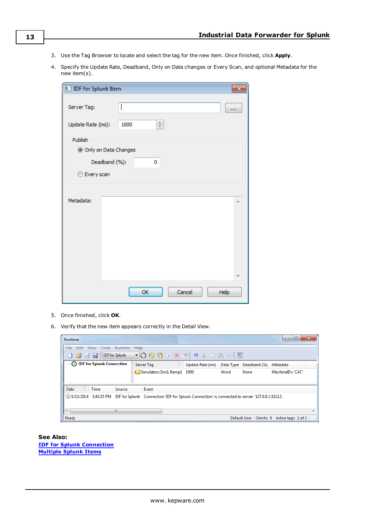- <span id="page-12-0"></span>3. Use the Tag Browser to locate and select the tag for the new item. Once finished, click **Apply**.
- 4. Specify the Update Rate, Deadband, Only on Data changes or Every Scan, and optional Metadata for the new item(s).

| <b>IDF</b> for Splunk Item |                        |      |
|----------------------------|------------------------|------|
| Server Tag:                |                        |      |
| Update Rate (ms):          | ÷<br>1000              |      |
| Publish                    |                        |      |
|                            | O Only on Data Changes |      |
|                            | Deadband (%):<br>0     |      |
| <b>Every scan</b>          |                        |      |
|                            |                        |      |
| Metadata:                  |                        | A.   |
|                            | Cancel<br>OK           | Help |

- 5. Once finished, click **OK**.
- 6. Verify that the new item appears correctly in the Detail View.

| Runtime                                                                                                                   |                                                                                                                                                                                                                                                                                                                                                                                                                          |                                         |      |                           | ▣<br>$\Box$         | $\mathbf{x}$ |
|---------------------------------------------------------------------------------------------------------------------------|--------------------------------------------------------------------------------------------------------------------------------------------------------------------------------------------------------------------------------------------------------------------------------------------------------------------------------------------------------------------------------------------------------------------------|-----------------------------------------|------|---------------------------|---------------------|--------------|
| View<br>Tools Runtime<br>Edit<br>File                                                                                     | Help                                                                                                                                                                                                                                                                                                                                                                                                                     |                                         |      |                           |                     |              |
| <b>IDF</b> for Splunk<br>$\begin{array}{c} \text{I} \text{B} \text{C} \text{C} \end{array}$                               | $\neg \textbf{0} \textbf{0} \textbf{1} \textbf{0} \textbf{0} \textbf{0} \textbf{1} \textbf{1} \textbf{0} \textbf{0} \textbf{1} \textbf{0} \textbf{1} \textbf{0} \textbf{1} \textbf{0} \textbf{1} \textbf{0} \textbf{1} \textbf{0} \textbf{1} \textbf{0} \textbf{1} \textbf{0} \textbf{1} \textbf{0} \textbf{1} \textbf{0} \textbf{1} \textbf{1} \textbf{1} \textbf{1} \textbf{1} \textbf{1} \textbf{1} \textbf{1} \text$ |                                         |      |                           |                     |              |
| DE for Splunk Connection                                                                                                  | Server Tag                                                                                                                                                                                                                                                                                                                                                                                                               | Update Rate (ms) Data Type Deadband (%) |      |                           | Metadata            |              |
|                                                                                                                           | Simulators.Sim1.Ramp1 1000                                                                                                                                                                                                                                                                                                                                                                                               |                                         | Word | None                      | MachineID="C42"     |              |
|                                                                                                                           |                                                                                                                                                                                                                                                                                                                                                                                                                          |                                         |      |                           |                     |              |
| Date<br><b>Time</b><br>Source                                                                                             | Event                                                                                                                                                                                                                                                                                                                                                                                                                    |                                         |      |                           |                     |              |
| (i) 9/11/2014 3:43:35 PM IDF for Splunk Connection 'IDF for Splunk Connection' is connected to server: '127.0.0.1:51112'. |                                                                                                                                                                                                                                                                                                                                                                                                                          |                                         |      |                           |                     |              |
|                                                                                                                           |                                                                                                                                                                                                                                                                                                                                                                                                                          |                                         |      |                           |                     |              |
| m.<br>$\overline{ }$                                                                                                      |                                                                                                                                                                                                                                                                                                                                                                                                                          |                                         |      |                           |                     |              |
| Ready                                                                                                                     |                                                                                                                                                                                                                                                                                                                                                                                                                          |                                         |      | Default User   Clients: 0 | Active tags: 1 of 1 | 进            |

**See Also: IDF for Splunk [Connection](#page-10-0) [Multiple](#page-15-0) Splunk Items**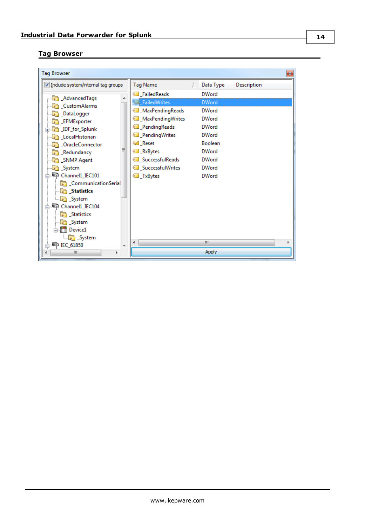### <span id="page-13-0"></span>**Tag Browser**

| <b>Tag Browser</b>                                                                                                                                                                                                                                                                                                                                                                       |                                                                                                                                                                                                       |                                                                                                                                                                                | B                  |
|------------------------------------------------------------------------------------------------------------------------------------------------------------------------------------------------------------------------------------------------------------------------------------------------------------------------------------------------------------------------------------------|-------------------------------------------------------------------------------------------------------------------------------------------------------------------------------------------------------|--------------------------------------------------------------------------------------------------------------------------------------------------------------------------------|--------------------|
| I Include system/internal tag groups                                                                                                                                                                                                                                                                                                                                                     | <b>Tag Name</b>                                                                                                                                                                                       | Data Type                                                                                                                                                                      | <b>Description</b> |
| <b>AdvancedTags</b><br>Custom Alarms<br><b>DataLogger</b><br><b>EFMExporter</b><br><b>E</b> IDF_for_Splunk<br>LocalHistorian<br><b>Condeconnector</b><br>Ξ<br>Redundancy<br><b>Comp</b> _SNMP Agent<br><b>B</b> System<br>Channell_IEC101<br><b>CommunicationSerial</b><br><b>Statistics</b><br><b>B</b> System<br>Channell_IEC104<br><b>Statistics</b><br>System<br><b>E-11 Device1</b> | FailedReads<br>FailedWrites<br>MaxPendingReads<br>MaxPendingWrites<br>PendingReads<br><b>E</b> PendingWrites<br><b></b> Reset<br>RxBytes<br>SuccessfulReads<br>Successful Writes<br><b>I</b> _TxBytes | <b>DWord</b><br><b>DWord</b><br><b>DWord</b><br><b>DWord</b><br><b>DWord</b><br><b>DWord</b><br><b>Boolean</b><br><b>DWord</b><br><b>DWord</b><br><b>DWord</b><br><b>DWord</b> |                    |
| <b>Co</b> _System<br>$\Box$ IEC_61850<br>٠<br>Ш<br>Þ                                                                                                                                                                                                                                                                                                                                     | ∢                                                                                                                                                                                                     | m<br><b>Apply</b>                                                                                                                                                              |                    |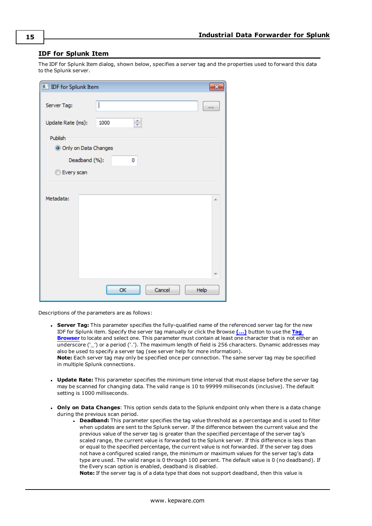### <span id="page-14-0"></span>**IDF for Splunk Item**

The IDF for Splunk Item dialog, shown below, specifies a server tag and the properties used to forward this data to the Splunk server.

| <b>IDF</b> for Splunk Item |              |      |
|----------------------------|--------------|------|
| Server Tag:                | I            |      |
| Update Rate (ms):          | ÷<br>1000    |      |
| Publish                    |              |      |
| O Only on Data Changes     |              |      |
| Deadband (%):              | 0            |      |
| <b>Every scan</b>          |              |      |
|                            |              |      |
| Metadata:                  |              | A.   |
|                            |              |      |
|                            |              |      |
|                            |              |      |
|                            |              |      |
|                            |              |      |
|                            |              |      |
|                            | Cancel<br>OK | Help |

Descriptions of the parameters are as follows:

- <span id="page-14-3"></span><sup>l</sup> **Server Tag:** This parameter specifies the fully-qualified name of the referenced server tag for the new IDF for Splunk item. Specify the server tag manually or click the Browse **[\(…\)](#page-13-0)** button to use the **[Tag](#page-13-0) [Browser](#page-13-0)** to locate and select one. This parameter must contain at least one character that is not either an underscore ('\_') or a period ('.'). The maximum length of field is 256 characters. Dynamic addresses may also be used to specify a server tag (see server help for more information). **Note:** Each server tag may only be specified once per connection. The same server tag may be specified in multiple Splunk connections.
- <span id="page-14-4"></span>**· Update Rate:** This parameter specifies the minimum time interval that must elapse before the server tag may be scanned for changing data. The valid range is 10 to 99999 milliseconds (inclusive). The default setting is 1000 milliseconds.
- <span id="page-14-2"></span><span id="page-14-1"></span><sup>l</sup> **Only on Data Changes**: This option sends data to the Splunk endpoint only when there is a data change during the previous scan period.
	- **.** Deadband: This parameter specifies the tag value threshold as a percentage and is used to filter when updates are sent to the Splunk server. If the difference between the current value and the previous value of the server tag is greater than the specified percentage of the server tag's scaled range, the current value is forwarded to the Splunk server. If this difference is less than or equal to the specified percentage, the current value is not forwarded. If the server tag does not have a configured scaled range, the minimum or maximum values for the server tag's data type are used. The valid range is 0 through 100 percent. The default value is 0 (no deadband). If the Every scan option is enabled, deadband is disabled.

**Note:** If the server tag is of a data type that does not support deadband, then this value is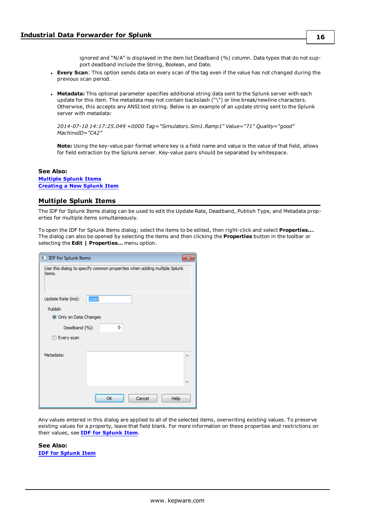ignored and "N/A" is displayed in the item list Deadband (%) column. Data types that do not support deadband include the String, Boolean, and Date.

- <span id="page-15-1"></span>**Every Scan**: This option sends data on every scan of the tag even if the value has not changed during the previous scan period.
- <span id="page-15-2"></span>**Metadata:** This optional parameter specifies additional string data sent to the Splunk server with each update for this item. The metadata may not contain backslash ("\") or line break/newline characters. Otherwise, this accepts any ANSI text string. Below is an example of an update string sent to the Splunk server with metadata:

*2014-07-10 14:17:25.049 +0000 Tag="Simulators.Sim1.Ramp1" Value="71" Quality="good" MachineID="C42"*

**Note:** Using the key-value pair format where key is a field name and value is the value of that field, allows for field extraction by the Splunk server. Key-value pairs should be separated by whitespace.

#### **See Also:**

**[Multiple](#page-15-0) Splunk Items [Creating](#page-11-0) a New Splunk Item**

### <span id="page-15-0"></span>**Multiple Splunk Items**

The IDF for Splunk Items dialog can be used to edit the Update Rate, Deadband, Publish Type, and Metadata properties for multiple items simultaneously.

To open the IDF for Splunk Items dialog; select the items to be edited, then right-click and select **Properties…**. The dialog can also be opened by selecting the items and then clicking the **Properties** button in the toolbar or selecting the **Edit | Properties…** menu option.

| <b>II.</b> IDF for Splunk Items   |                                                                          |   |
|-----------------------------------|--------------------------------------------------------------------------|---|
| items.                            | Use this dialog to specify common properties when adding multiple Splunk |   |
| Update Rate (ms):                 | 1000                                                                     |   |
| Publish<br>O Only on Data Changes |                                                                          |   |
| Deadband (%):                     | ٥                                                                        |   |
| Every scan                        |                                                                          |   |
| Metadata:                         |                                                                          | × |
|                                   |                                                                          |   |
|                                   | Cancel<br>OK<br>Help                                                     |   |

Any values entered in this dialog are applied to all of the selected items, overwriting existing values. To preserve existing values for a property, leave that field blank. For more information on these properties and restrictions on their values, see **IDF for [Splunk](#page-14-0) Item**.

**See Also: IDF for [Splunk](#page-14-0) Item**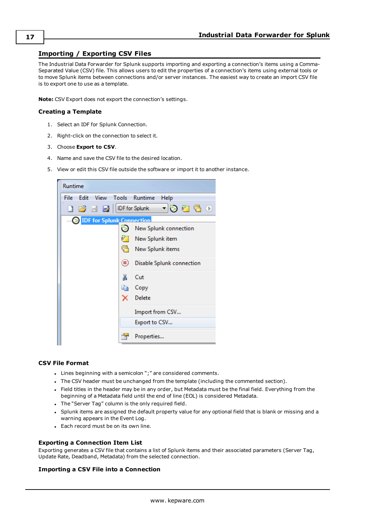### <span id="page-16-1"></span><span id="page-16-0"></span>**Importing / Exporting CSV Files**

The Industrial Data Forwarder for Splunk supports importing and exporting a connection's items using a Comma-Separated Value (CSV) file. This allows users to edit the properties of a connection's items using external tools or to move Splunk items between connections and/or server instances. The easiest way to create an import CSV file is to export one to use as a template.

<span id="page-16-5"></span>**Note:** CSV Export does not export the connection's settings.

### **Creating a Template**

- 1. Select an IDF for Splunk Connection.
- 2. Right-click on the connection to select it.
- 3. Choose **Export to CSV**.
- 4. Name and save the CSV file to the desired location.
- 5. View or edit this CSV file outside the software or import it to another instance.

| Runtime                         |                           |
|---------------------------------|---------------------------|
| Edit View Tools Runtime<br>File | Help                      |
| <b>DES EN IDE for Splunk</b>    | - 100 0                   |
| <b>DE</b> For Splunk Connection |                           |
|                                 | New Splunk connection     |
|                                 | New Splunk item           |
|                                 | New Splunk items          |
| ◉                               | Disable Splunk connection |
| ¥                               | Cut                       |
| eb.                             | Copy                      |
| x                               | Delete                    |
|                                 | Import from CSV           |
|                                 | Export to CSV             |
|                                 | Properties                |

### <span id="page-16-2"></span>**CSV File Format**

- Lines beginning with a semicolon ";" are considered comments.
- In The CSV header must be unchanged from the template (including the commented section).
- <sup>l</sup> Field titles in the header may be in any order, but Metadata must be the final field. Everything from the beginning of a Metadata field until the end of line (EOL) is considered Metadata.
- The "Server Tag" column is the only required field.
- Splunk items are assigned the default property value for any optional field that is blank or missing and a warning appears in the Event Log.
- Each record must be on its own line.

### <span id="page-16-3"></span>**Exporting a Connection Item List**

Exporting generates a CSV file that contains a list of Splunk items and their associated parameters (Server Tag, Update Rate, Deadband, Metadata) from the selected connection.

### <span id="page-16-4"></span>**Importing a CSV File into a Connection**

**17**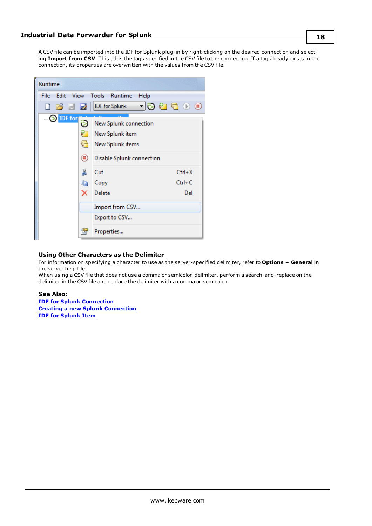A CSV file can be imported into the IDF for Splunk plug-in by right-clicking on the desired connection and selecting **Import from CSV**. This adds the tags specified in the CSV file to the connection. If a tag already exists in the connection, its properties are overwritten with the values from the CSV file.

| Runtime                            |                                                                                   |
|------------------------------------|-----------------------------------------------------------------------------------|
| Edit<br><b>View</b><br><b>File</b> | Tools Runtime<br>Help                                                             |
| <b>I</b> B I DF for Splunk         | - 192300                                                                          |
| — SIDF for<br>ő<br>◉               | New Splunk connection<br>New Splunk item<br>New Splunk items                      |
| Ж<br>E)                            | Disable Splunk connection<br>Cut<br>Ctrl+X<br>$Ctrl + C$<br>Copy<br>Delete<br>Del |
|                                    | Import from CSV<br>Export to CSV<br>Properties                                    |

### <span id="page-17-0"></span>**Using Other Characters as the Delimiter**

For information on specifying a character to use as the server-specified delimiter, refer to **Options – General** in the server help file.

When using a CSV file that does not use a comma or semicolon delimiter, perform a search-and-replace on the delimiter in the CSV file and replace the delimiter with a comma or semicolon.

#### **See Also:**

**IDF for Splunk [Connection](#page-10-0) Creating a new Splunk [Connection](#page-9-0) IDF for [Splunk](#page-14-0) Item**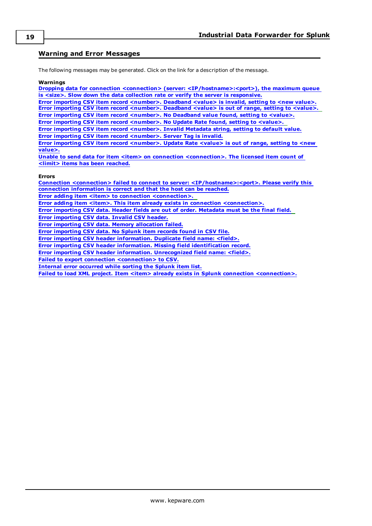### <span id="page-18-0"></span>**Warning and Error Messages**

<span id="page-18-2"></span>The following messages may be generated. Click on the link for a description of the message.

#### **Warnings**

**Dropping data for connection <connection> (server: [<IP/hostname>:<port>\),](#page-19-1) the maximum queue is <size>. Slow down the data collection rate or verify the server is [responsive.](#page-19-1) Error importing CSV item record [<number>.](#page-20-1) Deadband <value> is invalid, setting to <new value>. Error importing CSV item record [<number>.](#page-20-3) Deadband <value> is out of range, setting to <value>. Error importing CSV item record [<number>.](#page-20-2) No Deadband value found, setting to <value>. Error importing CSV item record [<number>.](#page-23-1) No Update Rate found, setting to <value>. Error importing CSV item record [<number>.](#page-22-0) Invalid Metadata string, setting to default value. Error importing CSV item record [<number>.](#page-22-3) Server Tag is invalid. Error importing CSV item record [<number>.](#page-23-2) Update Rate <value> is out of range, setting to <new [value>.](#page-23-2) Unable to send data for item <item> on connection [<connection>.](#page-25-0) The licensed item count of <limit> items has been [reached.](#page-25-0) Errors Connection <connection> failed to connect to server: [<IP/hostname>:<port>.](#page-19-0) Please verify this connection [information](#page-19-0) is correct and that the host can be reached. Error adding item** <item> **to connection** [<connection>.](#page-19-2)

<span id="page-18-1"></span>**Error adding item <item>. This item already exists in connection [<connection>.](#page-20-0)**

**Error [importing](#page-21-2) CSV data. Header fields are out of order. Metadata must be the final field.**

**Error [importing](#page-21-1) CSV data. Invalid CSV header.**

**Error importing CSV data. Memory [allocation](#page-21-3) failed.**

**Error [importing](#page-22-2) CSV data. No Splunk item records found in CSV file.**

**Error importing CSV header [information.](#page-21-0) Duplicate field name: <field>.**

**Error importing CSV header information. Missing field [identification](#page-22-1) record.**

**Error importing CSV header information. [Unrecognized](#page-23-0) field name: <field>.**

**Failed to export connection [<connection>](#page-24-0) to CSV.**

**Internal error [occurred](#page-24-2) while sorting the Splunk item list.**

**Failed to load XML project. Item <item> already exists in Splunk connection [<connection>.](#page-24-1)**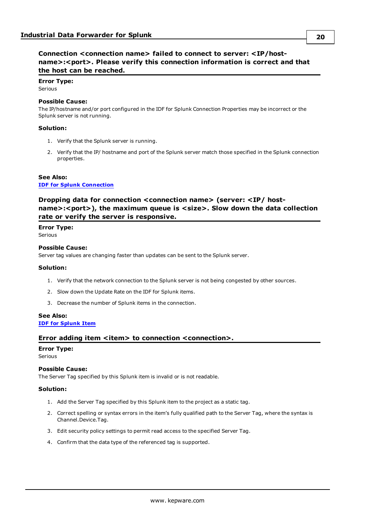### <span id="page-19-0"></span>**Connection <connection name> failed to connect to server: <IP/hostname>:<port>. Please verify this connection information is correct and that the host can be reached.**

### **Error Type:** Serious

### **Possible Cause:**

The IP/hostname and/or port configured in the IDF for Splunk Connection Properties may be incorrect or the Splunk server is not running.

### **Solution:**

- 1. Verify that the Splunk server is running.
- 2. Verify that the IP/ hostname and port of the Splunk server match those specified in the Splunk connection properties.

### **See Also: IDF for Splunk [Connection](#page-10-0)**

### <span id="page-19-1"></span>**Dropping data for connection <connection name> (server: <IP/ hostname>:<port>), the maximum queue is <size>. Slow down the data collection rate or verify the server is responsive.**

### **Error Type:**

Serious

### **Possible Cause:**

Server tag values are changing faster than updates can be sent to the Splunk server.

#### **Solution:**

- 1. Verify that the network connection to the Splunk server is not being congested by other sources.
- 2. Slow down the Update Rate on the IDF for Splunk items.
- 3. Decrease the number of Splunk items in the connection.

### **See Also:**

### <span id="page-19-2"></span>**IDF for [Splunk](#page-14-0) Item**

### **Error adding item <item> to connection <connection>.**

### **Error Type:**

Serious

### **Possible Cause:**

The Server Tag specified by this Splunk item is invalid or is not readable.

### **Solution:**

- 1. Add the Server Tag specified by this Splunk item to the project as a static tag.
- 2. Correct spelling or syntax errors in the item's fully qualified path to the Server Tag, where the syntax is Channel.Device.Tag.
- 3. Edit security policy settings to permit read access to the specified Server Tag.
- 4. Confirm that the data type of the referenced tag is supported.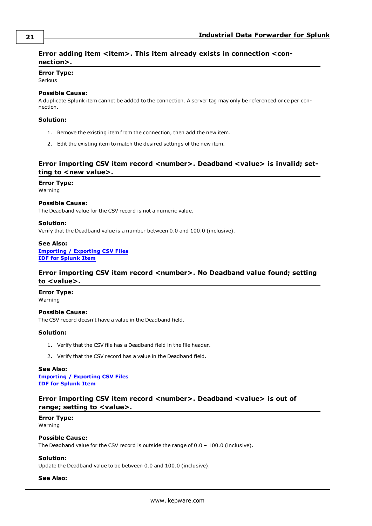### <span id="page-20-0"></span>Error adding item <item>. This item already exists in connection <con**nection>.**

### **Error Type:**

Serious

### **Possible Cause:**

A duplicate Splunk item cannot be added to the connection. A server tag may only be referenced once per connection.

### **Solution:**

- 1. Remove the existing item from the connection, then add the new item.
- 2. Edit the existing item to match the desired settings of the new item.

### <span id="page-20-1"></span>**Error** importing CSV item record <number>. Deadband <value> is invalid; set**ting** to <new value>.

### **Error Type:**

Warning

### **Possible Cause:**

The Deadband value for the CSV record is not a numeric value.

### **Solution:**

Verify that the Deadband value is a number between 0.0 and 100.0 (inclusive).

### **See Also: [Importing](#page-16-0) / Exporting CSV Files IDF for [Splunk](#page-14-0) Item**

### <span id="page-20-2"></span>**Error importing CSV item record <number>. No Deadband value found; setting to <value>.**

### **Error Type:**

Warning

**Possible Cause:** The CSV record doesn't have a value in the Deadband field.

### **Solution:**

- 1. Verify that the CSV file has a Deadband field in the file header.
- 2. Verify that the CSV record has a value in the Deadband field.

### **See Also:**

**[Importing](#page-16-0) / Exporting CSV Files IDF for [Splunk](#page-14-0) Item**

### <span id="page-20-3"></span>**Error importing CSV item record <number>. Deadband <value> is out of range; setting to <value>.**

### **Error Type:** Warning

### **Possible Cause:**

The Deadband value for the CSV record is outside the range of 0.0 – 100.0 (inclusive).

### **Solution:**

Update the Deadband value to be between 0.0 and 100.0 (inclusive).

#### **See Also:**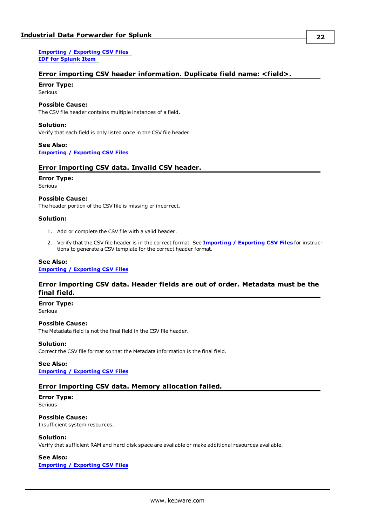**[Importing](#page-16-0) / Exporting CSV Files IDF for [Splunk](#page-14-0) Item**

### <span id="page-21-0"></span>**Error importing CSV header information. Duplicate field name: <field>.**

### **Error Type:**

Serious

### **Possible Cause:**

The CSV file header contains multiple instances of a field.

### **Solution:**

Verify that each field is only listed once in the CSV file header.

### **See Also: [Importing](#page-16-0) / Exporting CSV Files**

### <span id="page-21-1"></span>**Error importing CSV data. Invalid CSV header.**

#### **Error Type:**

Serious

### **Possible Cause:**

The header portion of the CSV file is missing or incorrect.

#### **Solution:**

- 1. Add or complete the CSV file with a valid header.
- 2. Verify that the CSV file header is in the correct format. See **[Importing](#page-16-0) / Exporting CSV Files** for instructions to generate a CSV template for the correct header format.

### **See Also:**

<span id="page-21-2"></span>**[Importing](#page-16-0) / Exporting CSV Files**

### **Error importing CSV data. Header fields are out of order. Metadata must be the final field.**

**Error Type:**

Serious

**Possible Cause:** The Metadata field is not the final field in the CSV file header.

#### **Solution:**

Correct the CSV file format so that the Metadata information is the final field.

### **See Also:**

<span id="page-21-3"></span>**[Importing](#page-16-0) / Exporting CSV Files**

### **Error importing CSV data. Memory allocation failed.**

### **Error Type:**

Serious

### **Possible Cause:**

Insufficient system resources.

#### **Solution:**

Verify that sufficient RAM and hard disk space are available or make additional resources available.

### **See Also:**

**[Importing](#page-16-0) / Exporting CSV Files**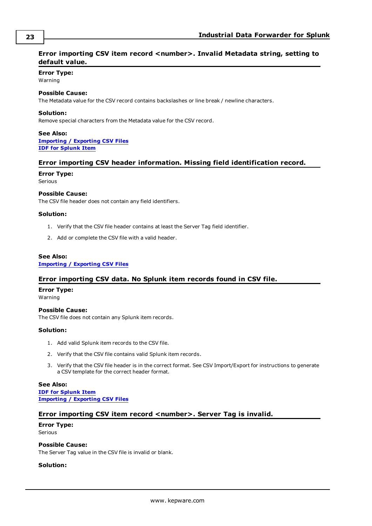### <span id="page-22-0"></span>**Error** importing CSV item record <number>. Invalid Metadata string, setting to **default value.**

### **Error Type:**

Warning

### **Possible Cause:**

The Metadata value for the CSV record contains backslashes or line break / newline characters.

### **Solution:**

Remove special characters from the Metadata value for the CSV record.

### **See Also: [Importing](#page-16-0) / Exporting CSV Files IDF for [Splunk](#page-14-0) Item**

### <span id="page-22-1"></span>**Error importing CSV header information. Missing field identification record.**

**Error Type:**

Serious

### **Possible Cause:**

The CSV file header does not contain any field identifiers.

### **Solution:**

- 1. Verify that the CSV file header contains at least the Server Tag field identifier.
- 2. Add or complete the CSV file with a valid header.

### **See Also:**

<span id="page-22-2"></span>**[Importing](#page-16-0) / Exporting CSV Files**

### **Error importing CSV data. No Splunk item records found in CSV file.**

### **Error Type:**

Warning

**Possible Cause:** The CSV file does not contain any Splunk item records.

### **Solution:**

- 1. Add valid Splunk item records to the CSV file.
- 2. Verify that the CSV file contains valid Splunk item records.
- 3. Verify that the CSV file header is in the correct format. See CSV Import/Export for instructions to generate a CSV template for the correct header format.

**See Also: IDF for [Splunk](#page-14-0) Item [Importing](#page-16-0) / Exporting CSV Files**

### <span id="page-22-3"></span>**Error importing CSV item record <number>. Server Tag is invalid.**

#### **Error Type:** Serious

### **Possible Cause:**

The Server Tag value in the CSV file is invalid or blank.

### **Solution:**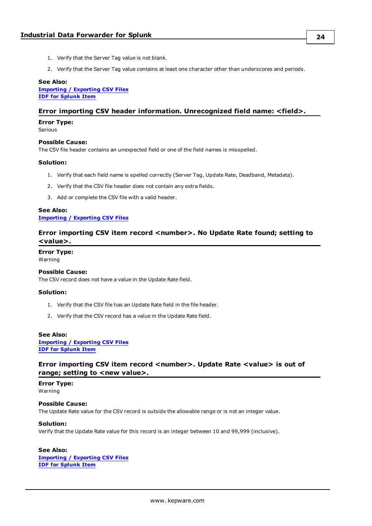- 1. Verify that the Server Tag value is not blank.
- 2. Verify that the Server Tag value contains at least one character other than underscores and periods.

### **See Also:**

**[Importing](#page-16-0) / Exporting CSV Files IDF for [Splunk](#page-14-0) Item**

### <span id="page-23-0"></span>**Error importing CSV header information. Unrecognized field name: <field>.**

#### **Error Type:**

Serious

### **Possible Cause:**

The CSV file header contains an unexpected field or one of the field names is misspelled.

### **Solution:**

- 1. Verify that each field name is spelled correctly (Server Tag, Update Rate, Deadband, Metadata).
- 2. Verify that the CSV file header does not contain any extra fields.
- 3. Add or complete the CSV file with a valid header.

### **See Also: [Importing](#page-16-0) / Exporting CSV Files**

### <span id="page-23-1"></span>**Error importing CSV item record <number>. No Update Rate found; setting to <value>.**

**Error Type:**

Warning

#### **Possible Cause:**

The CSV record does not have a value in the Update Rate field.

#### **Solution:**

- 1. Verify that the CSV file has an Update Rate field in the file header.
- 2. Verify that the CSV record has a value in the Update Rate field.

#### **See Also:**

**[Importing](#page-16-0) / Exporting CSV Files IDF for [Splunk](#page-14-0) Item**

### <span id="page-23-2"></span>**Error importing CSV item record <number>. Update Rate <value> is out of range; setting to <new value>.**

**Error Type:** Warning

### **Possible Cause:** The Update Rate value for the CSV record is outside the allowable range or is not an integer value.

### **Solution:**

Verify that the Update Rate value for this record is an integer between 10 and 99,999 (inclusive).

### **See Also:**

**[Importing](#page-16-0) / Exporting CSV Files IDF for [Splunk](#page-14-0) Item**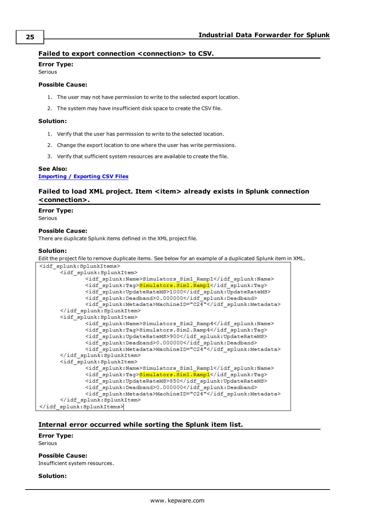### <span id="page-24-0"></span>**Failed to export connection <connection> to CSV.**

### **Error Type:**

Serious

### **Possible Cause:**

- 1. The user may not have permission to write to the selected export location.
- 2. The system may have insufficient disk space to create the CSV file.

### **Solution:**

- 1. Verify that the user has permission to write to the selected location.
- 2. Change the export location to one where the user has write permissions.
- 3. Verify that sufficient system resources are available to create the file.

### **See Also:**

<span id="page-24-1"></span>**[Importing](#page-16-0) / Exporting CSV Files**

### **Failed to load XML project. Item <item> already exists in Splunk connection <connection>.**

### **Error Type:**

Serious

### **Possible Cause:**

There are duplicate Splunk items defined in the XML project file.

### **Solution:**

Edit the project file to remove duplicate items. See below for an example of a duplicated Splunk item in XML.

| <idf splunk:splunkitems=""></idf>                           |
|-------------------------------------------------------------|
| <idf splunk:splunkitem=""></idf>                            |
| <idf splunk:name="">Simulators Sim1 Ramp1</idf>             |
| <idf splunk:taq=""><mark>Simulators.Sim1.Ramp1</mark></idf> |
| <idf splunk:updateratems="">1000</idf>                      |
| <idf splunk:deadband="">0.000000</idf>                      |
| <idf splunk:metadata="">MachineID="C24"</idf>               |
|                                                             |
| <idf splunk:splunkitem=""></idf>                            |
| <idf splunk:name="">Simulators Sim2 Ramp4</idf>             |
| <idf splunk:taq="">Simulators.Sim2.Ramp4</idf>              |
| <idf splunk:updateratems="">900</idf>                       |
| <idf splunk:deadband="">0.000000</idf>                      |
| <idf splunk:metadata="">MachineID="C24"</idf>               |
|                                                             |
| <idf splunk:="" splunkitem=""></idf>                        |
| <idf splunk:name="">Simulators Sim1 Ramp1</idf>             |
| <idf splunk:tag=""><mark>Simulators.Sim1.Ramp1</mark></idf> |
| <idf splunk:updateratems="">850</idf>                       |
| <idf splunk:deadband="">0.000000</idf>                      |
| <idf splunk:metadata="">MachineID="C24"</idf>               |
|                                                             |
|                                                             |

### <span id="page-24-2"></span>**Internal error occurred while sorting the Splunk item list.**

### **Error Type:**

Serious

### **Possible Cause:**

Insufficient system resources.

### **Solution:**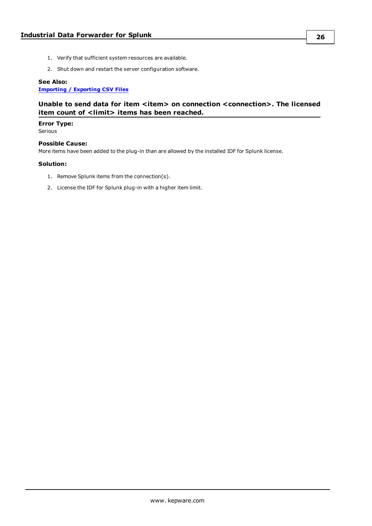- 1. Verify that sufficient system resources are available.
- 2. Shut down and restart the server configuration software.

### **See Also:**

<span id="page-25-0"></span>**[Importing](#page-16-0) / Exporting CSV Files**

### **Unable to send data for item <item> on connection <connection>. The licensed item count of <limit> items has been reached.**

### **Error Type:**

Serious

### **Possible Cause:**

More items have been added to the plug-in than are allowed by the installed IDF for Splunk license.

### **Solution:**

- 1. Remove Splunk items from the connection(s).
- 2. License the IDF for Splunk plug-in with a higher item limit.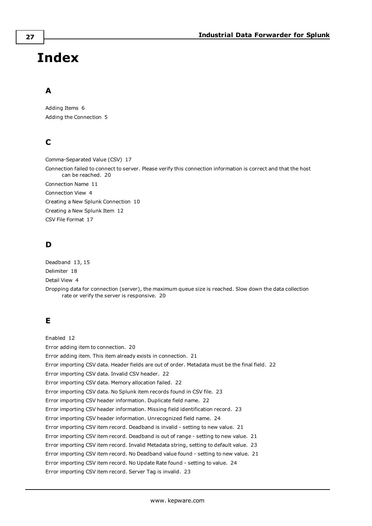# <span id="page-26-0"></span>**Index**

### **A**

Adding Items [6](#page-5-0) Adding the Connection [5](#page-4-1)

### **C**

Comma-Separated Value (CSV) [17](#page-16-1) Connection failed to connect to server. Please verify this connection information is correct and that the host can be reached. [20](#page-19-0) Connection Name [11](#page-10-1) Connection View [4](#page-3-1) Creating a New Splunk Connection [10](#page-9-0) Creating a New Splunk Item [12](#page-11-0) CSV File Format [17](#page-16-2)

### **D**

Deadband [13](#page-12-0), [15](#page-14-1) Delimiter [18](#page-17-0) Detail View [4](#page-3-2) Dropping data for connection (server), the maximum queue size is reached. Slow down the data collection rate or verify the server is responsive. [20](#page-19-1)

### **E**

Enabled [12](#page-11-1) Error adding item to connection. [20](#page-19-2) Error adding item. This item already exists in connection. [21](#page-20-0) Error importing CSV data. Header fields are out of order. Metadata must be the final field. [22](#page-21-2) Error importing CSV data. Invalid CSV header. [22](#page-21-1) Error importing CSV data. Memory allocation failed. [22](#page-21-3) Error importing CSV data. No Splunk item records found in CSV file. [23](#page-22-2) Error importing CSV header information. Duplicate field name. [22](#page-21-0) Error importing CSV header information. Missing field identification record. [23](#page-22-1) Error importing CSV header information. Unrecognized field name. [24](#page-23-0) Error importing CSV item record. Deadband is invalid - setting to new value. [21](#page-20-1) Error importing CSV item record. Deadband is out of range - setting to new value. [21](#page-20-3) Error importing CSV item record. Invalid Metadata string, setting to default value. [23](#page-22-0) Error importing CSV item record. No Deadband value found - setting to new value. [21](#page-20-2) Error importing CSV item record. No Update Rate found - setting to value. [24](#page-23-1) Error importing CSV item record. Server Tag is invalid. [23](#page-22-3)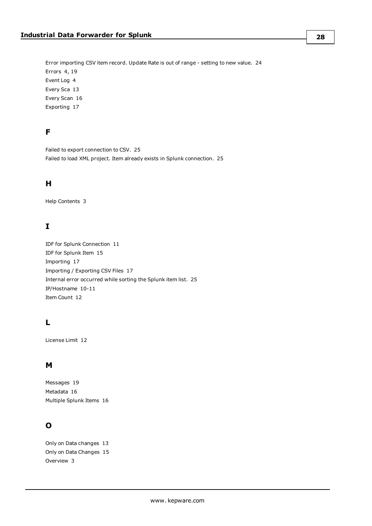Error importing CSV item record. Update Rate is out of range - setting to new value. [24](#page-23-2) Errors [4](#page-3-3), [19](#page-18-1) Event Log [4](#page-3-4) Every Sca [13](#page-12-0) Every Scan [16](#page-15-1) Exporting [17](#page-16-3)

### **F**

Failed to export connection to CSV. [25](#page-24-0) Failed to load XML project. Item already exists in Splunk connection. [25](#page-24-1)

### **H**

Help Contents [3](#page-2-0)

### **I**

IDF for Splunk Connection [11](#page-10-0) IDF for Splunk Item [15](#page-14-0) Importing [17](#page-16-4) Importing / Exporting CSV Files [17](#page-16-0) Internal error occurred while sorting the Splunk item list. [25](#page-24-2) IP/Hostname [10-11](#page-9-1) Item Count [12](#page-11-2)

### **L**

License Limit [12](#page-11-3)

### **M**

Messages [19](#page-18-0) Metadata [16](#page-15-2) Multiple Splunk Items [16](#page-15-0)

### **O**

Only on Data changes [13](#page-12-0) Only on Data Changes [15](#page-14-2) Overview [3](#page-2-1)